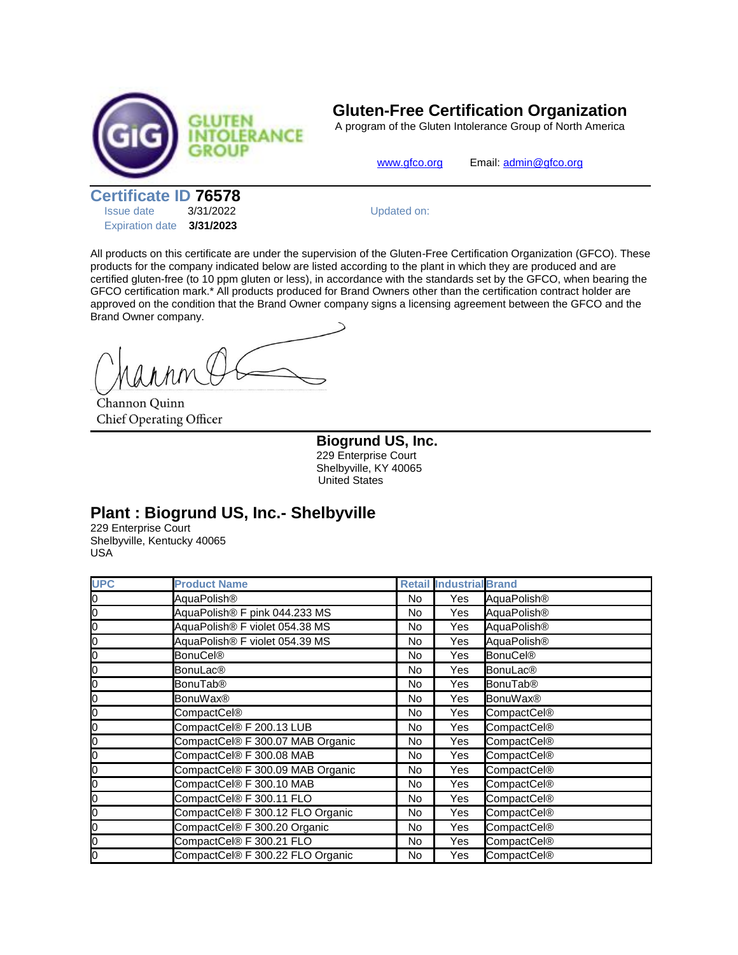

## **Gluten-Free Certification Organization**

A program of the Gluten Intolerance Group of North America

[www.gfco.org](http://www.gfco.org/) Email[: admin@gfco.org](mailto:admin@gfco.org)

**Certificate ID 76578**

| <b>Issue date</b>      | 3/31/2022 |  |  |
|------------------------|-----------|--|--|
| <b>Expiration date</b> | 3/31/2023 |  |  |

Updated on:

All products on this certificate are under the supervision of the Gluten-Free Certification Organization (GFCO). These products for the company indicated below are listed according to the plant in which they are produced and are certified gluten-free (to 10 ppm gluten or less), in accordance with the standards set by the GFCO, when bearing the GFCO certification mark.\* All products produced for Brand Owners other than the certification contract holder are approved on the condition that the Brand Owner company signs a licensing agreement between the GFCO and the Brand Owner company.

Channon Quinn **Chief Operating Officer** 

**Biogrund US, Inc.** 229 Enterprise Court Shelbyville, KY 40065 United States

## **Plant : Biogrund US, Inc.- Shelbyville**

229 Enterprise Court Shelbyville, Kentucky 40065 USA

| <b>UPC</b> | <b>Product Name</b>              |     | <b>Retail Industrial Brand</b> |                            |
|------------|----------------------------------|-----|--------------------------------|----------------------------|
| Ю          | AquaPolish <sup>®</sup>          | No  | Yes                            | AquaPolish <sup>®</sup>    |
| Ю          | AquaPolish® F pink 044.233 MS    | No  | Yes                            | AquaPolish®                |
| 0          | AquaPolish® F violet 054.38 MS   | No  | Yes                            | AquaPolish <sup>®</sup>    |
| 0          | AquaPolish® F violet 054.39 MS   | No  | Yes                            | AquaPolish®                |
| 0          | <b>BonuCel®</b>                  | No. | Yes                            | <b>BonuCel®</b>            |
| 0          | <b>BonuLac<sup>®</sup></b>       | No  | Yes                            | <b>BonuLac<sup>®</sup></b> |
| 0          | <b>BonuTab®</b>                  | No. | Yes                            | <b>BonuTab®</b>            |
| 0          | <b>BonuWax®</b>                  | No  | Yes                            | <b>BonuWax®</b>            |
| 0          | CompactCel®                      | No  | Yes                            | CompactCel <sup>®</sup>    |
| 0          | CompactCel® F 200.13 LUB         | No  | Yes                            | CompactCel®                |
| 0          | CompactCel® F 300.07 MAB Organic | No  | Yes                            | CompactCel®                |
| 0          | CompactCel® F 300.08 MAB         | No  | Yes                            | CompactCel®                |
| 0          | CompactCel® F 300.09 MAB Organic | No. | Yes                            | CompactCel®                |
| 0          | CompactCel® F 300.10 MAB         | No  | Yes                            | CompactCel®                |
| 0          | CompactCel® F 300.11 FLO         | No  | Yes                            | CompactCel®                |
| 0          | CompactCel® F 300.12 FLO Organic | No  | Yes                            | CompactCel®                |
| 0          | CompactCel® F 300.20 Organic     | No  | Yes                            | CompactCel®                |
| 0          | CompactCel® F 300.21 FLO         | No  | Yes                            | CompactCel®                |
| Ю          | CompactCel® F 300.22 FLO Organic | No  | Yes                            | CompactCel <sup>®</sup>    |